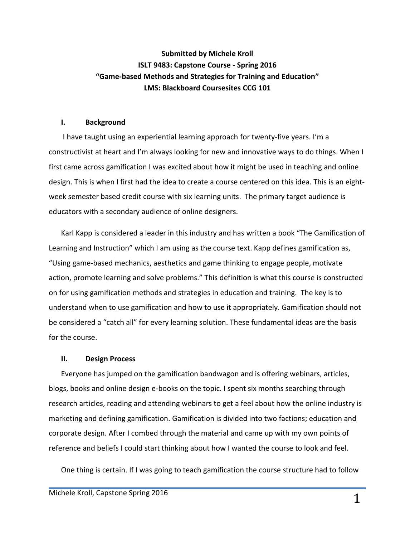# **Submitted by Michele Kroll ISLT 9483: Capstone Course - Spring 2016 "Game-based Methods and Strategies for Training and Education" LMS: Blackboard Coursesites CCG 101**

#### **I. Background**

I have taught using an experiential learning approach for twenty-five years. I'm a constructivist at heart and I'm always looking for new and innovative ways to do things. When I first came across gamification I was excited about how it might be used in teaching and online design. This is when I first had the idea to create a course centered on this idea. This is an eightweek semester based credit course with six learning units. The primary target audience is educators with a secondary audience of online designers.

Karl Kapp is considered a leader in this industry and has written a book "The Gamification of Learning and Instruction" which I am using as the course text. Kapp defines gamification as, "Using game-based mechanics, aesthetics and game thinking to engage people, motivate action, promote learning and solve problems." This definition is what this course is constructed on for using gamification methods and strategies in education and training. The key is to understand when to use gamification and how to use it appropriately. Gamification should not be considered a "catch all" for every learning solution. These fundamental ideas are the basis for the course.

#### **II. Design Process**

Everyone has jumped on the gamification bandwagon and is offering webinars, articles, blogs, books and online design e-books on the topic. I spent six months searching through research articles, reading and attending webinars to get a feel about how the online industry is marketing and defining gamification. Gamification is divided into two factions; education and corporate design. After I combed through the material and came up with my own points of reference and beliefs I could start thinking about how I wanted the course to look and feel.

One thing is certain. If I was going to teach gamification the course structure had to follow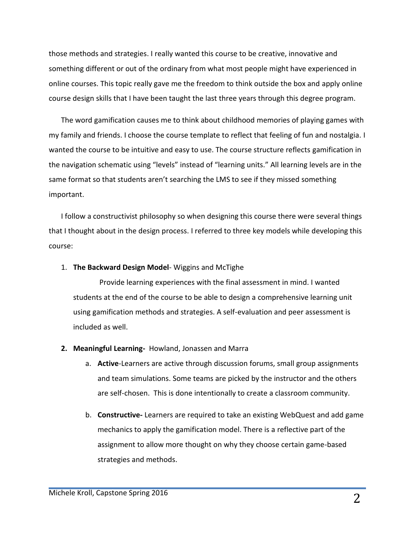those methods and strategies. I really wanted this course to be creative, innovative and something different or out of the ordinary from what most people might have experienced in online courses. This topic really gave me the freedom to think outside the box and apply online course design skills that I have been taught the last three years through this degree program.

The word gamification causes me to think about childhood memories of playing games with my family and friends. I choose the course template to reflect that feeling of fun and nostalgia. I wanted the course to be intuitive and easy to use. The course structure reflects gamification in the navigation schematic using "levels" instead of "learning units." All learning levels are in the same format so that students aren't searching the LMS to see if they missed something important.

I follow a constructivist philosophy so when designing this course there were several things that I thought about in the design process. I referred to three key models while developing this course:

#### 1. **The Backward Design Model**- Wiggins and McTighe

Provide learning experiences with the final assessment in mind. I wanted students at the end of the course to be able to design a comprehensive learning unit using gamification methods and strategies. A self-evaluation and peer assessment is included as well.

- **2. Meaningful Learning-** Howland, Jonassen and Marra
	- a. **Active**-Learners are active through discussion forums, small group assignments and team simulations. Some teams are picked by the instructor and the others are self-chosen. This is done intentionally to create a classroom community.
	- b. **Constructive-** Learners are required to take an existing WebQuest and add game mechanics to apply the gamification model. There is a reflective part of the assignment to allow more thought on why they choose certain game-based strategies and methods.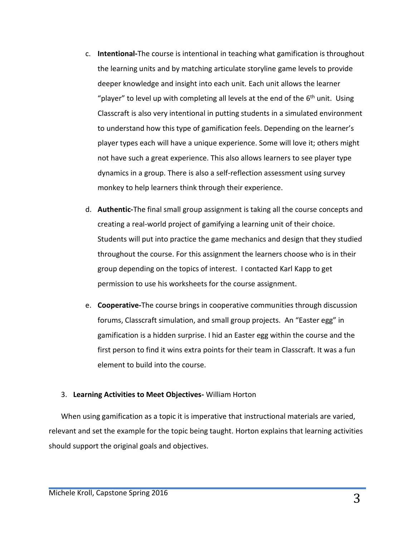- c. **Intentional-**The course is intentional in teaching what gamification is throughout the learning units and by matching articulate storyline game levels to provide deeper knowledge and insight into each unit. Each unit allows the learner "player" to level up with completing all levels at the end of the 6<sup>th</sup> unit. Using Classcraft is also very intentional in putting students in a simulated environment to understand how this type of gamification feels. Depending on the learner's player types each will have a unique experience. Some will love it; others might not have such a great experience. This also allows learners to see player type dynamics in a group. There is also a self-reflection assessment using survey monkey to help learners think through their experience.
- d. **Authentic-**The final small group assignment is taking all the course concepts and creating a real-world project of gamifying a learning unit of their choice. Students will put into practice the game mechanics and design that they studied throughout the course. For this assignment the learners choose who is in their group depending on the topics of interest. I contacted Karl Kapp to get permission to use his worksheets for the course assignment.
- e. **Cooperative-**The course brings in cooperative communities through discussion forums, Classcraft simulation, and small group projects. An "Easter egg" in gamification is a hidden surprise. I hid an Easter egg within the course and the first person to find it wins extra points for their team in Classcraft. It was a fun element to build into the course.

#### 3. **Learning Activities to Meet Objectives-** William Horton

When using gamification as a topic it is imperative that instructional materials are varied, relevant and set the example for the topic being taught. Horton explains that learning activities should support the original goals and objectives.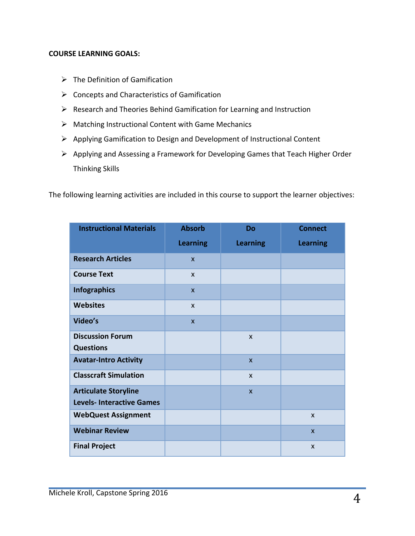#### **COURSE LEARNING GOALS:**

- $\triangleright$  The Definition of Gamification
- $\triangleright$  Concepts and Characteristics of Gamification
- $\triangleright$  Research and Theories Behind Gamification for Learning and Instruction
- Matching Instructional Content with Game Mechanics
- Applying Gamification to Design and Development of Instructional Content
- $\triangleright$  Applying and Assessing a Framework for Developing Games that Teach Higher Order Thinking Skills

The following learning activities are included in this course to support the learner objectives:

| <b>Instructional Materials</b>   | <b>Absorb</b>   | Do              | <b>Connect</b>  |
|----------------------------------|-----------------|-----------------|-----------------|
|                                  | <b>Learning</b> | <b>Learning</b> | <b>Learning</b> |
| <b>Research Articles</b>         | $\mathsf{x}$    |                 |                 |
| <b>Course Text</b>               | $\mathsf{x}$    |                 |                 |
| <b>Infographics</b>              | $\mathsf{x}$    |                 |                 |
| <b>Websites</b>                  | $\mathsf{x}$    |                 |                 |
| Video's                          | $\mathsf{x}$    |                 |                 |
| <b>Discussion Forum</b>          |                 | $\mathsf{x}$    |                 |
| <b>Questions</b>                 |                 |                 |                 |
| <b>Avatar-Intro Activity</b>     |                 | $\mathsf{x}$    |                 |
| <b>Classcraft Simulation</b>     |                 | $\mathsf{x}$    |                 |
| <b>Articulate Storyline</b>      |                 | $\mathsf{x}$    |                 |
| <b>Levels- Interactive Games</b> |                 |                 |                 |
| <b>WebQuest Assignment</b>       |                 |                 | $\mathsf{x}$    |
| <b>Webinar Review</b>            |                 |                 | $\mathsf{x}$    |
| <b>Final Project</b>             |                 |                 | X               |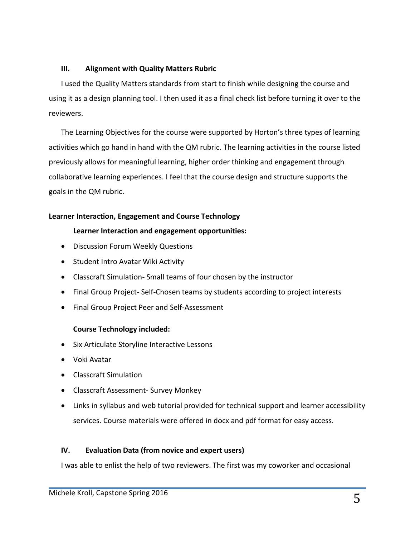### **III. Alignment with Quality Matters Rubric**

I used the Quality Matters standards from start to finish while designing the course and using it as a design planning tool. I then used it as a final check list before turning it over to the reviewers.

The Learning Objectives for the course were supported by Horton's three types of learning activities which go hand in hand with the QM rubric. The learning activities in the course listed previously allows for meaningful learning, higher order thinking and engagement through collaborative learning experiences. I feel that the course design and structure supports the goals in the QM rubric.

## **Learner Interaction, Engagement and Course Technology**

## **Learner Interaction and engagement opportunities:**

- Discussion Forum Weekly Questions
- Student Intro Avatar Wiki Activity
- Classcraft Simulation- Small teams of four chosen by the instructor
- Final Group Project- Self-Chosen teams by students according to project interests
- Final Group Project Peer and Self-Assessment

## **Course Technology included:**

- Six Articulate Storyline Interactive Lessons
- Voki Avatar
- Classcraft Simulation
- Classcraft Assessment- Survey Monkey
- Links in syllabus and web tutorial provided for technical support and learner accessibility services. Course materials were offered in docx and pdf format for easy access.

## **IV. Evaluation Data (from novice and expert users)**

I was able to enlist the help of two reviewers. The first was my coworker and occasional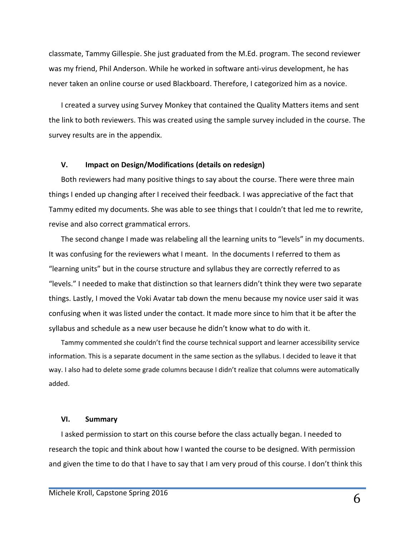classmate, Tammy Gillespie. She just graduated from the M.Ed. program. The second reviewer was my friend, Phil Anderson. While he worked in software anti-virus development, he has never taken an online course or used Blackboard. Therefore, I categorized him as a novice.

I created a survey using Survey Monkey that contained the Quality Matters items and sent the link to both reviewers. This was created using the sample survey included in the course. The survey results are in the appendix.

#### **V. Impact on Design/Modifications (details on redesign)**

Both reviewers had many positive things to say about the course. There were three main things I ended up changing after I received their feedback. I was appreciative of the fact that Tammy edited my documents. She was able to see things that I couldn't that led me to rewrite, revise and also correct grammatical errors.

The second change I made was relabeling all the learning units to "levels" in my documents. It was confusing for the reviewers what I meant. In the documents I referred to them as "learning units" but in the course structure and syllabus they are correctly referred to as "levels." I needed to make that distinction so that learners didn't think they were two separate things. Lastly, I moved the Voki Avatar tab down the menu because my novice user said it was confusing when it was listed under the contact. It made more since to him that it be after the syllabus and schedule as a new user because he didn't know what to do with it.

Tammy commented she couldn't find the course technical support and learner accessibility service information. This is a separate document in the same section as the syllabus. I decided to leave it that way. I also had to delete some grade columns because I didn't realize that columns were automatically added.

#### **VI. Summary**

I asked permission to start on this course before the class actually began. I needed to research the topic and think about how I wanted the course to be designed. With permission and given the time to do that I have to say that I am very proud of this course. I don't think this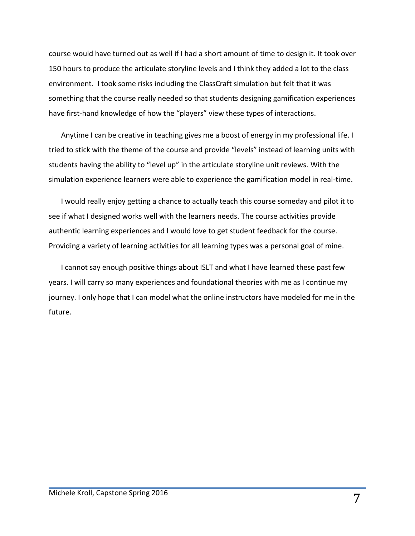course would have turned out as well if I had a short amount of time to design it. It took over 150 hours to produce the articulate storyline levels and I think they added a lot to the class environment. I took some risks including the ClassCraft simulation but felt that it was something that the course really needed so that students designing gamification experiences have first-hand knowledge of how the "players" view these types of interactions.

Anytime I can be creative in teaching gives me a boost of energy in my professional life. I tried to stick with the theme of the course and provide "levels" instead of learning units with students having the ability to "level up" in the articulate storyline unit reviews. With the simulation experience learners were able to experience the gamification model in real-time.

I would really enjoy getting a chance to actually teach this course someday and pilot it to see if what I designed works well with the learners needs. The course activities provide authentic learning experiences and I would love to get student feedback for the course. Providing a variety of learning activities for all learning types was a personal goal of mine.

I cannot say enough positive things about ISLT and what I have learned these past few years. I will carry so many experiences and foundational theories with me as I continue my journey. I only hope that I can model what the online instructors have modeled for me in the future.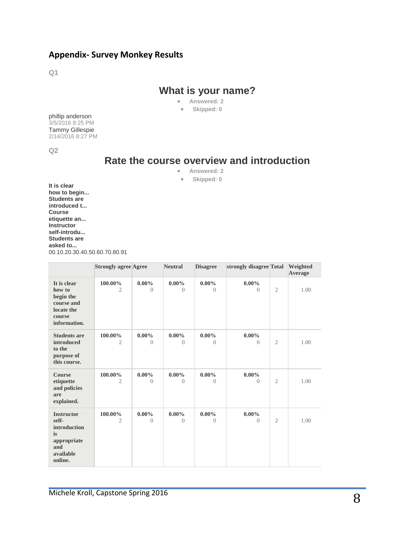## **Appendix- Survey Monkey Results**

**Q1**

# **What is your name?**

- **Answered: 2**
- **Skipped: 0**

phillip anderson 3/5/2016 8:25 PM Tammy Gillespie 2/14/2016 8:27 PM

**Q2**

# **Rate the course overview and introduction**

- **Answered: 2**
- **Skipped: 0**

**It is clear how to begin... Students are introduced t... Course etiquette an... Instructor self-introdu... Students are asked to...** 00.10.20.30.40.50.60.70.80.91

|                                                                                                | <b>Strongly agree Agree</b> |                            | <b>Neutral</b>       | <b>Disagree</b>       | strongly disagree Total |                | Weighted<br>Average |
|------------------------------------------------------------------------------------------------|-----------------------------|----------------------------|----------------------|-----------------------|-------------------------|----------------|---------------------|
| It is clear<br>how to<br>begin the<br>course and<br>locate the<br>course<br>information.       | 100.00%<br>2                | $0.00\%$<br>$\Omega$       | $0.00\%$<br>$\Omega$ | $0.00\%$<br>$\bigcap$ | $0.00\%$<br>$\bigcap$   | $\overline{2}$ | 1.00                |
| <b>Students are</b><br>introduced<br>to the<br>purpose of<br>this course.                      | 100.00%<br>2                | $0.00\%$<br>$\overline{0}$ | $0.00\%$<br>$\left($ | $0.00\%$<br>$\Omega$  | $0.00\%$<br>$\Omega$    | $\overline{2}$ | 1.00                |
| <b>Course</b><br>etiquette<br>and policies<br>are<br>explained.                                | 100.00%<br>2                | $0.00\%$<br>$\overline{0}$ | $0.00\%$<br>$\theta$ | $0.00\%$<br>$\theta$  | $0.00\%$<br>$\theta$    | $\overline{2}$ | 1.00                |
| <b>Instructor</b><br>self-<br>introduction<br>is<br>appropriate<br>and<br>available<br>online. | 100.00%<br>$\mathfrak{2}$   | $0.00\%$<br>$\left($       | $0.00\%$<br>$\Omega$ | $0.00\%$<br>$\bigcap$ | $0.00\%$<br>$\bigcap$   | $\overline{2}$ | 1.00                |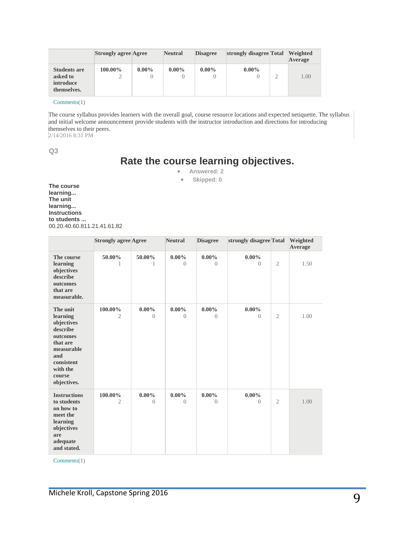|                                                                    | <b>Strongly agree Agree</b> |                              | <b>Neutral</b> | <b>Disagree</b> | strongly disagree Total | Weighted<br>Average |
|--------------------------------------------------------------------|-----------------------------|------------------------------|----------------|-----------------|-------------------------|---------------------|
| <b>Students are</b><br>asked to<br><i>introduce</i><br>themselves. | 100.00%                     | $0.00\%$<br>$\left( \right)$ | $0.00\%$       | $0.00\%$        | $0.00\%$                | 1.00                |

[Comments\(](https://www.surveymonkey.com/results/SM-VBYX5CWW/)1)

The course syllabus provides learners with the overall goal, course resource locations and expected netiquette. The syllabus and initial welcome announcement provide students with the instructor introduction and directions for introducing themselves to their peers.

2/14/2016 8:31 PM

**Q3**

# **Rate the course learning objectives.**

**Answered: 2**

**Skipped: 0**

**The course learning... The unit learning... Instructions to students ...** 00.20.40.60.811.21.41.61.82

|                                                                                                                                                | <b>Strongly agree Agree</b> |                            | <b>Neutral</b>        | <b>Disagree</b>      | strongly disagree Total |                | Weighted<br>Average |
|------------------------------------------------------------------------------------------------------------------------------------------------|-----------------------------|----------------------------|-----------------------|----------------------|-------------------------|----------------|---------------------|
| The course<br>learning<br>objectives<br>describe<br>outcomes<br>that are<br>measurable.                                                        | 50.00%<br>1                 | 50.00%<br>1                | $0.00\%$<br>$\bigcap$ | $0.00\%$<br>$\Omega$ | $0.00\%$<br>$\bigcap$   | $\overline{2}$ | 1.50                |
| The unit<br>learning<br>objectives<br>describe<br>outcomes<br>that are<br>measurable<br>and<br>consistent<br>with the<br>course<br>objectives. | 100.00%<br>$\overline{2}$   | $0.00\%$<br>$\overline{0}$ | $0.00\%$<br>$\bigcap$ | $0.00\%$<br>$\Omega$ | $0.00\%$<br>$\bigcap$   | $\overline{2}$ | 1.00                |
| <b>Instructions</b><br>to students<br>on how to<br>meet the<br>learning<br>objectives<br>are<br>adequate<br>and stated.                        | 100.00%<br>$\mathfrak{2}$   | $0.00\%$<br>$\Omega$       | $0.00\%$<br>$\Omega$  | $0.00\%$<br>$\left($ | $0.00\%$<br>$\Omega$    | $\mathfrak{2}$ | 1.00                |

[Comments\(](https://www.surveymonkey.com/results/SM-VBYX5CWW/)1)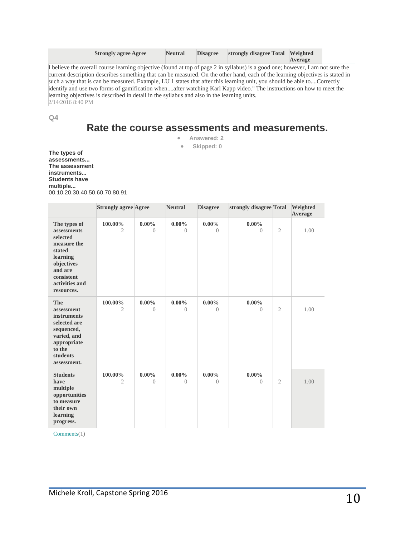| <b>Strongly agree Agree</b> |       | <b>Neutral</b> | <b>Disagree</b> | strongly disagree Total Weighted | Average |
|-----------------------------|-------|----------------|-----------------|----------------------------------|---------|
|                             | _____ |                |                 |                                  |         |

I believe the overall course learning objective (found at top of page 2 in syllabus) is a good one; however, I am not sure the current description describes something that can be measured. On the other hand, each of the learning objectives is stated in such a way that is can be measured. Example, LU 1 states that after this learning unit, you should be able to....Correctly identify and use two forms of gamification when....after watching Karl Kapp video." The instructions on how to meet the learning objectives is described in detail in the syllabus and also in the learning units. 2/14/2016 8:40 PM

**Q4**

# **Rate the course assessments and measurements.**

**Answered: 2**

**Skipped: 0**

**The types of assessments... The assessment instruments... Students have multiple...** 00.10.20.30.40.50.60.70.80.91

|                                                                                                                                                        | <b>Strongly agree Agree</b> |                       | <b>Neutral</b>        | <b>Disagree</b>            | strongly disagree Total    |                | Weighted<br>Average |
|--------------------------------------------------------------------------------------------------------------------------------------------------------|-----------------------------|-----------------------|-----------------------|----------------------------|----------------------------|----------------|---------------------|
| The types of<br>assessments<br>selected<br>measure the<br>stated<br>learning<br>objectives<br>and are<br>consistent<br>activities and<br>resources.    | 100.00%<br>2                | $0.00\%$<br>$\bigcap$ | $0.00\%$<br>$\bigcap$ | $0.00\%$<br>$\bigcap$      | $0.00\%$<br>$\Omega$       | $\overline{2}$ | 1.00                |
| <b>The</b><br>assessment<br><b>instruments</b><br>selected are<br>sequenced,<br>varied, and<br>appropriate<br>to the<br><b>students</b><br>assessment. | 100.00%<br>2                | $0.00\%$<br>$\left($  | $0.00\%$<br>$\left($  | $0.00\%$<br>$\left($       | $0.00\%$<br>$\Omega$       | $\overline{2}$ | 1.00                |
| <b>Students</b><br>have<br>multiple<br>opportunities<br>to measure<br>their own<br>learning<br>progress.                                               | 100.00%<br>2                | $0.00\%$<br>$\theta$  | $0.00\%$<br>$\left($  | $0.00\%$<br>$\overline{0}$ | $0.00\%$<br>$\overline{0}$ | $\overline{2}$ | 1.00                |

[Comments\(](https://www.surveymonkey.com/results/SM-VBYX5CWW/)1)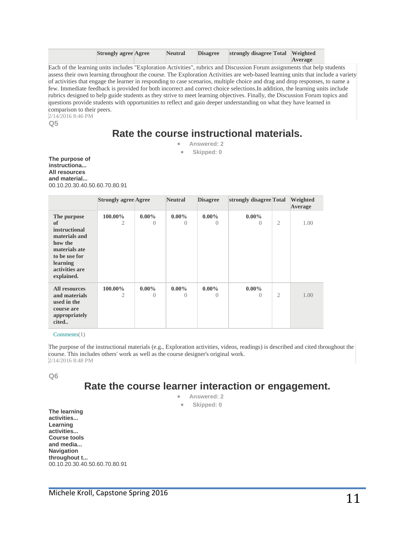| <b>Strongly agree Agree</b> | <b>Neutral</b> | <b>Disagree</b> | strongly disagree Total Weighted |         |
|-----------------------------|----------------|-----------------|----------------------------------|---------|
|                             |                |                 |                                  | Average |

Each of the learning units includes "Exploration Activities", rubrics and Discussion Forum assignments that help students assess their own learning throughout the course. The Exploration Activities are web-based learning units that include a variety of activities that engage the learner in responding to case scenarios, multiple choice and drag and drop responses, to name a few. Immediate feedback is provided for both incorrect and correct choice selections.In addition, the learning units include rubrics designed to help guide students as they strive to meet learning objectives. Finally, the Discussion Forum topics and questions provide students with opportunities to reflect and gain deeper understanding on what they have learned in comparison to their peers.

2/14/2016 8:46 PM

**Q5**

# **Rate the course instructional materials.**

 **Answered: 2 Skipped: 0**

**The purpose of instructiona... All resources and material...** 00.10.20.30.40.50.60.70.80.91

|                                                                                                                                              | <b>Strongly agree Agree</b> |                              | <b>Neutral</b>       | <b>Disagree</b>      | strongly disagree Total      |   | Weighted<br>Average |
|----------------------------------------------------------------------------------------------------------------------------------------------|-----------------------------|------------------------------|----------------------|----------------------|------------------------------|---|---------------------|
| The purpose<br>of<br>instructional<br>materials and<br>how the<br>materials ate<br>to be use for<br>learning<br>activities are<br>explained. | 100.00%<br>2                | $0.00\%$<br>$\left( \right)$ | $0.00\%$<br>0        | $0.00\%$<br>$\theta$ | $0.00\%$<br>$\left( \right)$ | 2 | 1.00                |
| <b>All resources</b><br>and materials<br>used in the<br>course are<br>appropriately<br>cited                                                 | 100.00%<br>2                | $0.00\%$<br>$\Omega$         | $0.00\%$<br>$\left($ | $0.00\%$<br>$\Omega$ | $0.00\%$<br>$\Omega$         | 2 | 1.00                |

[Comments\(](https://www.surveymonkey.com/results/SM-VBYX5CWW/)1)

The purpose of the instructional materials (e.g., Exploration activities, videos, readings) is described and cited throughout the course. This includes others' work as well as the course designer's original work. 2/14/2016 8:48 PM

**Q6**

# **Rate the course learner interaction or engagement.**

- **Answered: 2**
- **Skipped: 0**

**The learning activities... Learning activities... Course tools and media... Navigation throughout t...** 00.10.20.30.40.50.60.70.80.91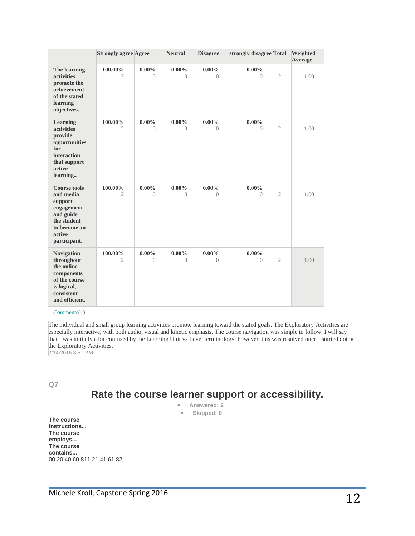|                                                                                                                                 | <b>Strongly agree Agree</b> |                            | <b>Neutral</b>       | <b>Disagree</b>       | strongly disagree Total |                | Weighted<br>Average |
|---------------------------------------------------------------------------------------------------------------------------------|-----------------------------|----------------------------|----------------------|-----------------------|-------------------------|----------------|---------------------|
| The learning<br><i>activities</i><br>promote the<br>achievement<br>of the stated<br>learning<br>objectives.                     | 100.00%<br>$\overline{2}$   | $0.00\%$<br>$\Omega$       | $0.00\%$<br>$\Omega$ | $0.00\%$<br>$\bigcap$ | $0.00\%$<br>$\Omega$    | $\overline{2}$ | 1.00                |
| Learning<br><i>activities</i><br>provide<br>opportunities<br>for<br>interaction<br>that support<br>active<br>learning           | 100.00%<br>2                | $0.00\%$<br>$\Omega$       | $0.00\%$<br>$\Omega$ | $0.00\%$<br>$\bigcap$ | $0.00\%$<br>$\bigcap$   | $\overline{2}$ | 1.00                |
| <b>Course tools</b><br>and media<br>support<br>engagement<br>and guide<br>the student<br>to become an<br>active<br>participant. | 100.00%<br>2                | $0.00\%$<br>$\overline{0}$ | $0.00\%$<br>$\Omega$ | $0.00\%$<br>$\Omega$  | $0.00\%$<br>$\Omega$    | $\mathfrak{2}$ | 1.00                |
| <b>Navigation</b><br>throughout<br>the online<br>components<br>of the course<br>is logical,<br>consistent<br>and efficient.     | 100.00%<br>2                | $0.00\%$<br>$\left($       | $0.00\%$<br>$\Omega$ | $0.00\%$<br>$\Omega$  | $0.00\%$<br>$\Omega$    | $\overline{2}$ | 1.00                |

#### [Comments\(](https://www.surveymonkey.com/results/SM-VBYX5CWW/)1)

The individual and small group learning activities promote learning toward the stated goals. The Exploratory Activities are especially interactive, with both audio, visual and kinetic emphasis. The course navigation was simple to follow. I will say that I was initially a bit confused by the Learning Unit vs Level terminology; however, this was resolved once I started doing the Exploratory Activities.

2/14/2016 8:51 PM

**Q7**

# **Rate the course learner support or accessibility.**

- **Answered: 2**
- **Skipped: 0**

**The course instructions... The course employs... The course contains...** 00.20.40.60.811.21.41.61.82